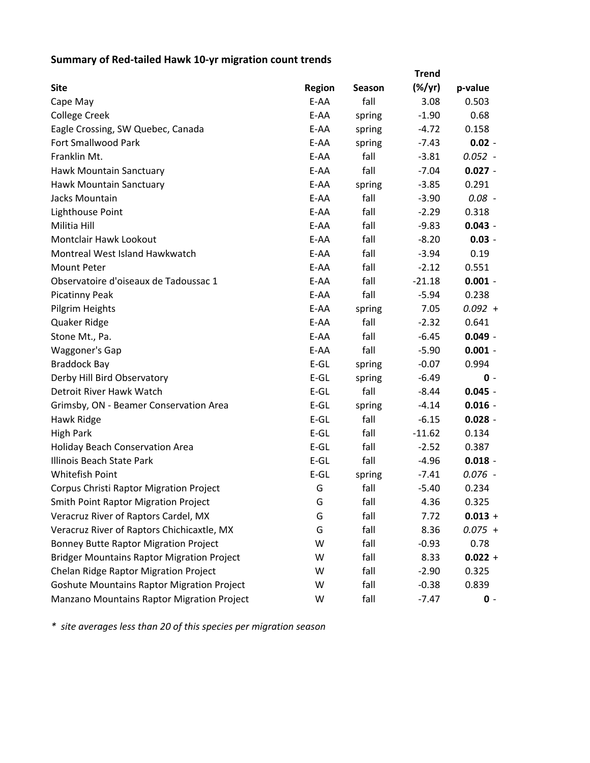## **Summary of Red‐tailed Hawk 10‐yr migration count trends**

|                                                   | <b>Trend</b>  |               |           |           |  |
|---------------------------------------------------|---------------|---------------|-----------|-----------|--|
| <b>Site</b>                                       | <b>Region</b> | <b>Season</b> | $(\%/yr)$ | p-value   |  |
| Cape May                                          | E-AA          | fall          | 3.08      | 0.503     |  |
| <b>College Creek</b>                              | E-AA          | spring        | $-1.90$   | 0.68      |  |
| Eagle Crossing, SW Quebec, Canada                 | E-AA          | spring        | $-4.72$   | 0.158     |  |
| Fort Smallwood Park                               | E-AA          | spring        | $-7.43$   | $0.02 -$  |  |
| Franklin Mt.                                      | E-AA          | fall          | $-3.81$   | $0.052 -$ |  |
| Hawk Mountain Sanctuary                           | E-AA          | fall          | $-7.04$   | $0.027 -$ |  |
| Hawk Mountain Sanctuary                           | E-AA          | spring        | $-3.85$   | 0.291     |  |
| Jacks Mountain                                    | E-AA          | fall          | $-3.90$   | $0.08 -$  |  |
| Lighthouse Point                                  | E-AA          | fall          | $-2.29$   | 0.318     |  |
| Militia Hill                                      | E-AA          | fall          | $-9.83$   | $0.043 -$ |  |
| Montclair Hawk Lookout                            | E-AA          | fall          | $-8.20$   | $0.03 -$  |  |
| Montreal West Island Hawkwatch                    | E-AA          | fall          | $-3.94$   | 0.19      |  |
| <b>Mount Peter</b>                                | E-AA          | fall          | $-2.12$   | 0.551     |  |
| Observatoire d'oiseaux de Tadoussac 1             | E-AA          | fall          | $-21.18$  | $0.001 -$ |  |
| <b>Picatinny Peak</b>                             | E-AA          | fall          | $-5.94$   | 0.238     |  |
| Pilgrim Heights                                   | E-AA          | spring        | 7.05      | $0.092 +$ |  |
| Quaker Ridge                                      | E-AA          | fall          | $-2.32$   | 0.641     |  |
| Stone Mt., Pa.                                    | E-AA          | fall          | $-6.45$   | $0.049 -$ |  |
| Waggoner's Gap                                    | E-AA          | fall          | $-5.90$   | $0.001 -$ |  |
| <b>Braddock Bay</b>                               | $E-GL$        | spring        | $-0.07$   | 0.994     |  |
| Derby Hill Bird Observatory                       | $E-GL$        | spring        | $-6.49$   | $0 -$     |  |
| Detroit River Hawk Watch                          | $E-GL$        | fall          | $-8.44$   | $0.045 -$ |  |
| Grimsby, ON - Beamer Conservation Area            | $E-GL$        | spring        | $-4.14$   | $0.016 -$ |  |
| Hawk Ridge                                        | $E-GL$        | fall          | $-6.15$   | $0.028 -$ |  |
| <b>High Park</b>                                  | $E-GL$        | fall          | $-11.62$  | 0.134     |  |
| <b>Holiday Beach Conservation Area</b>            | $E-GL$        | fall          | $-2.52$   | 0.387     |  |
| Illinois Beach State Park                         | $E-GL$        | fall          | $-4.96$   | $0.018 -$ |  |
| <b>Whitefish Point</b>                            | $E-GL$        | spring        | $-7.41$   | $0.076 -$ |  |
| Corpus Christi Raptor Migration Project           | G             | fall          | $-5.40$   | 0.234     |  |
| <b>Smith Point Raptor Migration Project</b>       | G             | fall          | 4.36      | 0.325     |  |
| Veracruz River of Raptors Cardel, MX              | G             | fall          | 7.72      | $0.013 +$ |  |
| Veracruz River of Raptors Chichicaxtle, MX        | G             | fall          | 8.36      | $0.075 +$ |  |
| <b>Bonney Butte Raptor Migration Project</b>      | W             | fall          | $-0.93$   | 0.78      |  |
| <b>Bridger Mountains Raptor Migration Project</b> | W             | fall          | 8.33      | $0.022 +$ |  |
| Chelan Ridge Raptor Migration Project             | W             | fall          | $-2.90$   | 0.325     |  |
| <b>Goshute Mountains Raptor Migration Project</b> | W             | fall          | $-0.38$   | 0.839     |  |
| Manzano Mountains Raptor Migration Project        | W             | fall          | $-7.47$   | $0 -$     |  |

*\* site averages less than 20 of this species per migration season*